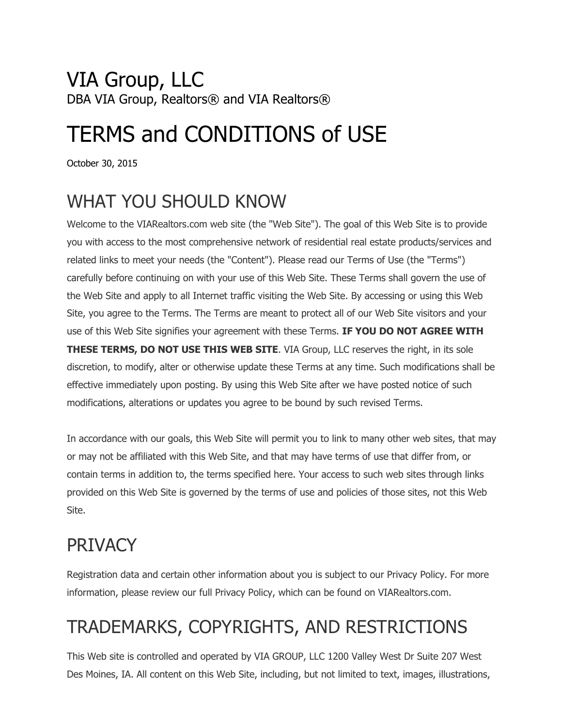#### VIA Group, LLC DBA VIA Group, Realtors® and VIA Realtors®

# TERMS and CONDITIONS of USE

October 30, 2015

## WHAT YOU SHOULD KNOW

Welcome to the VIARealtors.com web site (the "Web Site"). The goal of this Web Site is to provide you with access to the most comprehensive network of residential real estate products/services and related links to meet your needs (the "Content"). Please read our Terms of Use (the "Terms") carefully before continuing on with your use of this Web Site. These Terms shall govern the use of the Web Site and apply to all Internet traffic visiting the Web Site. By accessing or using this Web Site, you agree to the Terms. The Terms are meant to protect all of our Web Site visitors and your use of this Web Site signifies your agreement with these Terms. **IF YOU DO NOT AGREE WITH THESE TERMS, DO NOT USE THIS WEB SITE**. VIA Group, LLC reserves the right, in its sole discretion, to modify, alter or otherwise update these Terms at any time. Such modifications shall be effective immediately upon posting. By using this Web Site after we have posted notice of such modifications, alterations or updates you agree to be bound by such revised Terms.

In accordance with our goals, this Web Site will permit you to link to many other web sites, that may or may not be affiliated with this Web Site, and that may have terms of use that differ from, or contain terms in addition to, the terms specified here. Your access to such web sites through links provided on this Web Site is governed by the terms of use and policies of those sites, not this Web Site.

# **PRIVACY**

Registration data and certain other information about you is subject to our Privacy Policy. For more information, please review our full Privacy Policy, which can be found on VIARealtors.com.

# TRADEMARKS, COPYRIGHTS, AND RESTRICTIONS

This Web site is controlled and operated by VIA GROUP, LLC 1200 Valley West Dr Suite 207 West Des Moines, IA. All content on this Web Site, including, but not limited to text, images, illustrations,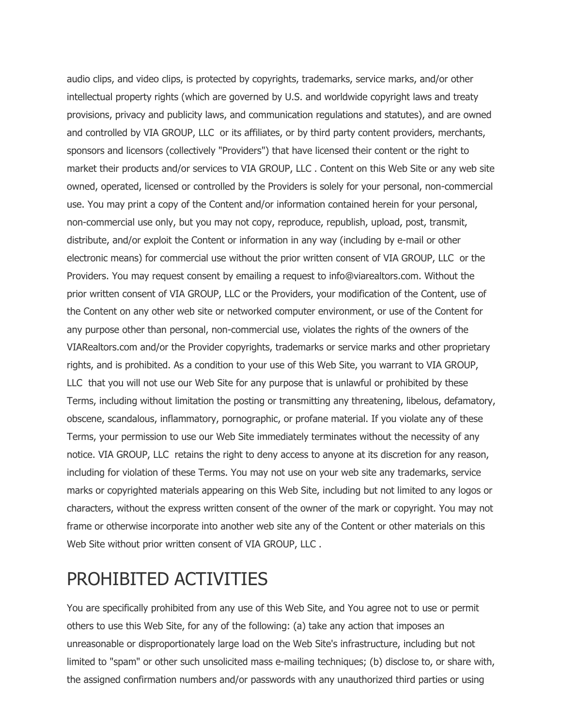audio clips, and video clips, is protected by copyrights, trademarks, service marks, and/or other intellectual property rights (which are governed by U.S. and worldwide copyright laws and treaty provisions, privacy and publicity laws, and communication regulations and statutes), and are owned and controlled by VIA GROUP, LLC or its affiliates, or by third party content providers, merchants, sponsors and licensors (collectively "Providers") that have licensed their content or the right to market their products and/or services to VIA GROUP, LLC . Content on this Web Site or any web site owned, operated, licensed or controlled by the Providers is solely for your personal, non-commercial use. You may print a copy of the Content and/or information contained herein for your personal, non-commercial use only, but you may not copy, reproduce, republish, upload, post, transmit, distribute, and/or exploit the Content or information in any way (including by e-mail or other electronic means) for commercial use without the prior written consent of VIA GROUP, LLC or the Providers. You may request consent by emailing a request to info@viarealtors.com. Without the prior written consent of VIA GROUP, LLC or the Providers, your modification of the Content, use of the Content on any other web site or networked computer environment, or use of the Content for any purpose other than personal, non-commercial use, violates the rights of the owners of the VIARealtors.com and/or the Provider copyrights, trademarks or service marks and other proprietary rights, and is prohibited. As a condition to your use of this Web Site, you warrant to VIA GROUP, LLC that you will not use our Web Site for any purpose that is unlawful or prohibited by these Terms, including without limitation the posting or transmitting any threatening, libelous, defamatory, obscene, scandalous, inflammatory, pornographic, or profane material. If you violate any of these Terms, your permission to use our Web Site immediately terminates without the necessity of any notice. VIA GROUP, LLC retains the right to deny access to anyone at its discretion for any reason, including for violation of these Terms. You may not use on your web site any trademarks, service marks or copyrighted materials appearing on this Web Site, including but not limited to any logos or characters, without the express written consent of the owner of the mark or copyright. You may not frame or otherwise incorporate into another web site any of the Content or other materials on this Web Site without prior written consent of VIA GROUP, LLC .

#### PROHIBITED ACTIVITIES

You are specifically prohibited from any use of this Web Site, and You agree not to use or permit others to use this Web Site, for any of the following: (a) take any action that imposes an unreasonable or disproportionately large load on the Web Site's infrastructure, including but not limited to "spam" or other such unsolicited mass e-mailing techniques; (b) disclose to, or share with, the assigned confirmation numbers and/or passwords with any unauthorized third parties or using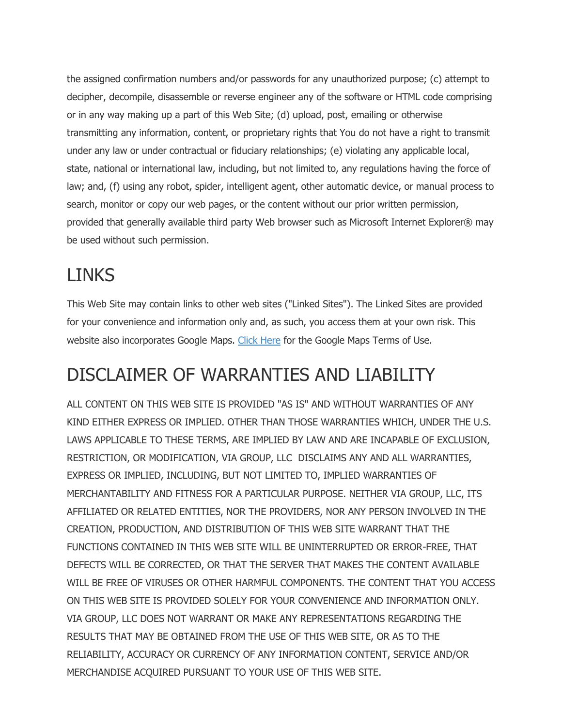the assigned confirmation numbers and/or passwords for any unauthorized purpose; (c) attempt to decipher, decompile, disassemble or reverse engineer any of the software or HTML code comprising or in any way making up a part of this Web Site; (d) upload, post, emailing or otherwise transmitting any information, content, or proprietary rights that You do not have a right to transmit under any law or under contractual or fiduciary relationships; (e) violating any applicable local, state, national or international law, including, but not limited to, any regulations having the force of law; and, (f) using any robot, spider, intelligent agent, other automatic device, or manual process to search, monitor or copy our web pages, or the content without our prior written permission, provided that generally available third party Web browser such as Microsoft Internet Explorer® may be used without such permission.

# LINKS

This Web Site may contain links to other web sites ("Linked Sites"). The Linked Sites are provided for your convenience and information only and, as such, you access them at your own risk. This website also incorporates Google Maps. Click Here for the Google Maps Terms of Use.

### DISCLAIMER OF WARRANTIES AND LIABILITY

ALL CONTENT ON THIS WEB SITE IS PROVIDED "AS IS" AND WITHOUT WARRANTIES OF ANY KIND EITHER EXPRESS OR IMPLIED. OTHER THAN THOSE WARRANTIES WHICH, UNDER THE U.S. LAWS APPLICABLE TO THESE TERMS, ARE IMPLIED BY LAW AND ARE INCAPABLE OF EXCLUSION, RESTRICTION, OR MODIFICATION, VIA GROUP, LLC DISCLAIMS ANY AND ALL WARRANTIES, EXPRESS OR IMPLIED, INCLUDING, BUT NOT LIMITED TO, IMPLIED WARRANTIES OF MERCHANTABILITY AND FITNESS FOR A PARTICULAR PURPOSE. NEITHER VIA GROUP, LLC, ITS AFFILIATED OR RELATED ENTITIES, NOR THE PROVIDERS, NOR ANY PERSON INVOLVED IN THE CREATION, PRODUCTION, AND DISTRIBUTION OF THIS WEB SITE WARRANT THAT THE FUNCTIONS CONTAINED IN THIS WEB SITE WILL BE UNINTERRUPTED OR ERROR-FREE, THAT DEFECTS WILL BE CORRECTED, OR THAT THE SERVER THAT MAKES THE CONTENT AVAILABLE WILL BE FREE OF VIRUSES OR OTHER HARMFUL COMPONENTS. THE CONTENT THAT YOU ACCESS ON THIS WEB SITE IS PROVIDED SOLELY FOR YOUR CONVENIENCE AND INFORMATION ONLY. VIA GROUP, LLC DOES NOT WARRANT OR MAKE ANY REPRESENTATIONS REGARDING THE RESULTS THAT MAY BE OBTAINED FROM THE USE OF THIS WEB SITE, OR AS TO THE RELIABILITY, ACCURACY OR CURRENCY OF ANY INFORMATION CONTENT, SERVICE AND/OR MERCHANDISE ACQUIRED PURSUANT TO YOUR USE OF THIS WEB SITE.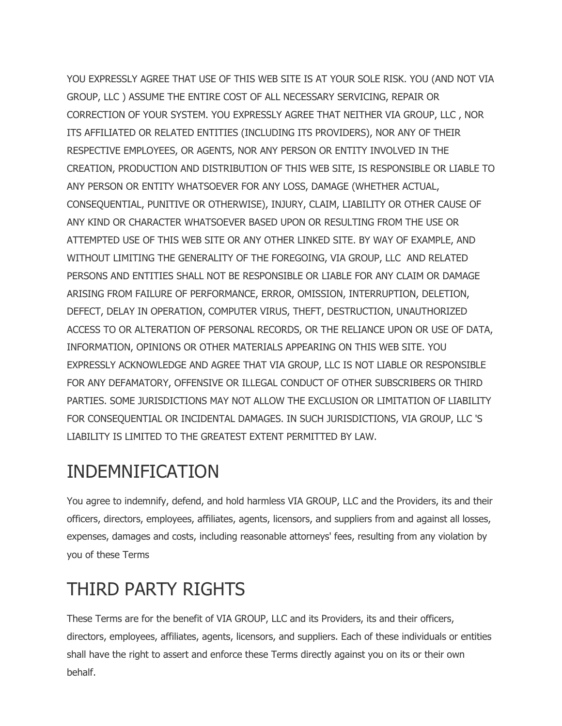YOU EXPRESSLY AGREE THAT USE OF THIS WEB SITE IS AT YOUR SOLE RISK. YOU (AND NOT VIA GROUP, LLC ) ASSUME THE ENTIRE COST OF ALL NECESSARY SERVICING, REPAIR OR CORRECTION OF YOUR SYSTEM. YOU EXPRESSLY AGREE THAT NEITHER VIA GROUP, LLC , NOR ITS AFFILIATED OR RELATED ENTITIES (INCLUDING ITS PROVIDERS), NOR ANY OF THEIR RESPECTIVE EMPLOYEES, OR AGENTS, NOR ANY PERSON OR ENTITY INVOLVED IN THE CREATION, PRODUCTION AND DISTRIBUTION OF THIS WEB SITE, IS RESPONSIBLE OR LIABLE TO ANY PERSON OR ENTITY WHATSOEVER FOR ANY LOSS, DAMAGE (WHETHER ACTUAL, CONSEQUENTIAL, PUNITIVE OR OTHERWISE), INJURY, CLAIM, LIABILITY OR OTHER CAUSE OF ANY KIND OR CHARACTER WHATSOEVER BASED UPON OR RESULTING FROM THE USE OR ATTEMPTED USE OF THIS WEB SITE OR ANY OTHER LINKED SITE. BY WAY OF EXAMPLE, AND WITHOUT LIMITING THE GENERALITY OF THE FOREGOING, VIA GROUP, LLC AND RELATED PERSONS AND ENTITIES SHALL NOT BE RESPONSIBLE OR LIABLE FOR ANY CLAIM OR DAMAGE ARISING FROM FAILURE OF PERFORMANCE, ERROR, OMISSION, INTERRUPTION, DELETION, DEFECT, DELAY IN OPERATION, COMPUTER VIRUS, THEFT, DESTRUCTION, UNAUTHORIZED ACCESS TO OR ALTERATION OF PERSONAL RECORDS, OR THE RELIANCE UPON OR USE OF DATA, INFORMATION, OPINIONS OR OTHER MATERIALS APPEARING ON THIS WEB SITE. YOU EXPRESSLY ACKNOWLEDGE AND AGREE THAT VIA GROUP, LLC IS NOT LIABLE OR RESPONSIBLE FOR ANY DEFAMATORY, OFFENSIVE OR ILLEGAL CONDUCT OF OTHER SUBSCRIBERS OR THIRD PARTIES. SOME JURISDICTIONS MAY NOT ALLOW THE EXCLUSION OR LIMITATION OF LIABILITY FOR CONSEQUENTIAL OR INCIDENTAL DAMAGES. IN SUCH JURISDICTIONS, VIA GROUP, LLC 'S LIABILITY IS LIMITED TO THE GREATEST EXTENT PERMITTED BY LAW.

#### INDEMNIFICATION

You agree to indemnify, defend, and hold harmless VIA GROUP, LLC and the Providers, its and their officers, directors, employees, affiliates, agents, licensors, and suppliers from and against all losses, expenses, damages and costs, including reasonable attorneys' fees, resulting from any violation by you of these Terms

# THIRD PARTY RIGHTS

These Terms are for the benefit of VIA GROUP, LLC and its Providers, its and their officers, directors, employees, affiliates, agents, licensors, and suppliers. Each of these individuals or entities shall have the right to assert and enforce these Terms directly against you on its or their own behalf.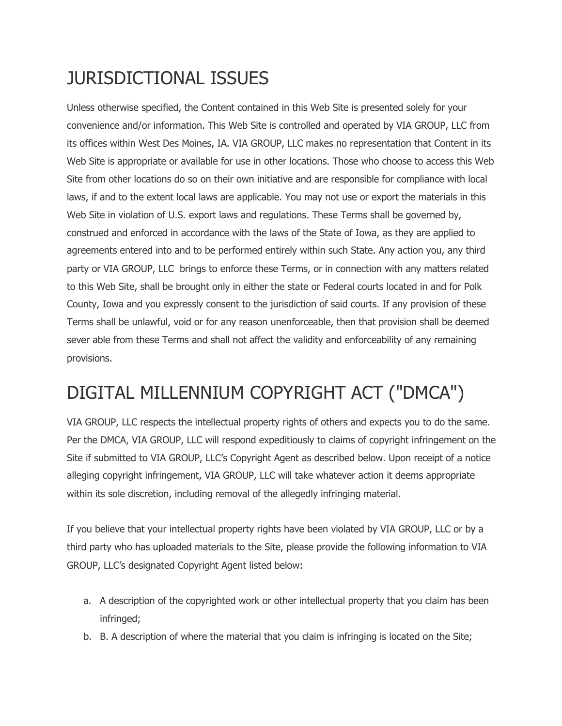# JURISDICTIONAL ISSUES

Unless otherwise specified, the Content contained in this Web Site is presented solely for your convenience and/or information. This Web Site is controlled and operated by VIA GROUP, LLC from its offices within West Des Moines, IA. VIA GROUP, LLC makes no representation that Content in its Web Site is appropriate or available for use in other locations. Those who choose to access this Web Site from other locations do so on their own initiative and are responsible for compliance with local laws, if and to the extent local laws are applicable. You may not use or export the materials in this Web Site in violation of U.S. export laws and regulations. These Terms shall be governed by, construed and enforced in accordance with the laws of the State of Iowa, as they are applied to agreements entered into and to be performed entirely within such State. Any action you, any third party or VIA GROUP, LLC brings to enforce these Terms, or in connection with any matters related to this Web Site, shall be brought only in either the state or Federal courts located in and for Polk County, Iowa and you expressly consent to the jurisdiction of said courts. If any provision of these Terms shall be unlawful, void or for any reason unenforceable, then that provision shall be deemed sever able from these Terms and shall not affect the validity and enforceability of any remaining provisions.

# DIGITAL MILLENNIUM COPYRIGHT ACT ("DMCA")

VIA GROUP, LLC respects the intellectual property rights of others and expects you to do the same. Per the DMCA, VIA GROUP, LLC will respond expeditiously to claims of copyright infringement on the Site if submitted to VIA GROUP, LLC's Copyright Agent as described below. Upon receipt of a notice alleging copyright infringement, VIA GROUP, LLC will take whatever action it deems appropriate within its sole discretion, including removal of the allegedly infringing material.

If you believe that your intellectual property rights have been violated by VIA GROUP, LLC or by a third party who has uploaded materials to the Site, please provide the following information to VIA GROUP, LLC's designated Copyright Agent listed below:

- a. A description of the copyrighted work or other intellectual property that you claim has been infringed;
- b. B. A description of where the material that you claim is infringing is located on the Site;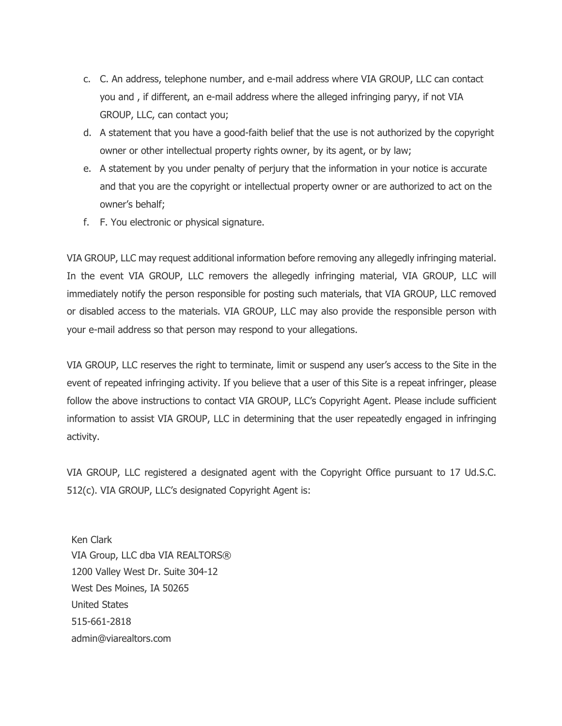- c. C. An address, telephone number, and e-mail address where VIA GROUP, LLC can contact you and , if different, an e-mail address where the alleged infringing paryy, if not VIA GROUP, LLC, can contact you;
- d. A statement that you have a good-faith belief that the use is not authorized by the copyright owner or other intellectual property rights owner, by its agent, or by law;
- e. A statement by you under penalty of perjury that the information in your notice is accurate and that you are the copyright or intellectual property owner or are authorized to act on the owner's behalf;
- f. F. You electronic or physical signature.

VIA GROUP, LLC may request additional information before removing any allegedly infringing material. In the event VIA GROUP, LLC removers the allegedly infringing material, VIA GROUP, LLC will immediately notify the person responsible for posting such materials, that VIA GROUP, LLC removed or disabled access to the materials. VIA GROUP, LLC may also provide the responsible person with your e-mail address so that person may respond to your allegations.

VIA GROUP, LLC reserves the right to terminate, limit or suspend any user's access to the Site in the event of repeated infringing activity. If you believe that a user of this Site is a repeat infringer, please follow the above instructions to contact VIA GROUP, LLC's Copyright Agent. Please include sufficient information to assist VIA GROUP, LLC in determining that the user repeatedly engaged in infringing activity.

VIA GROUP, LLC registered a designated agent with the Copyright Office pursuant to 17 Ud.S.C. 512(c). VIA GROUP, LLC's designated Copyright Agent is:

Ken Clark VIA Group, LLC dba VIA REALTORS® 1200 Valley West Dr. Suite 304-12 West Des Moines, IA 50265 United States 515-661-2818 admin@viarealtors.com